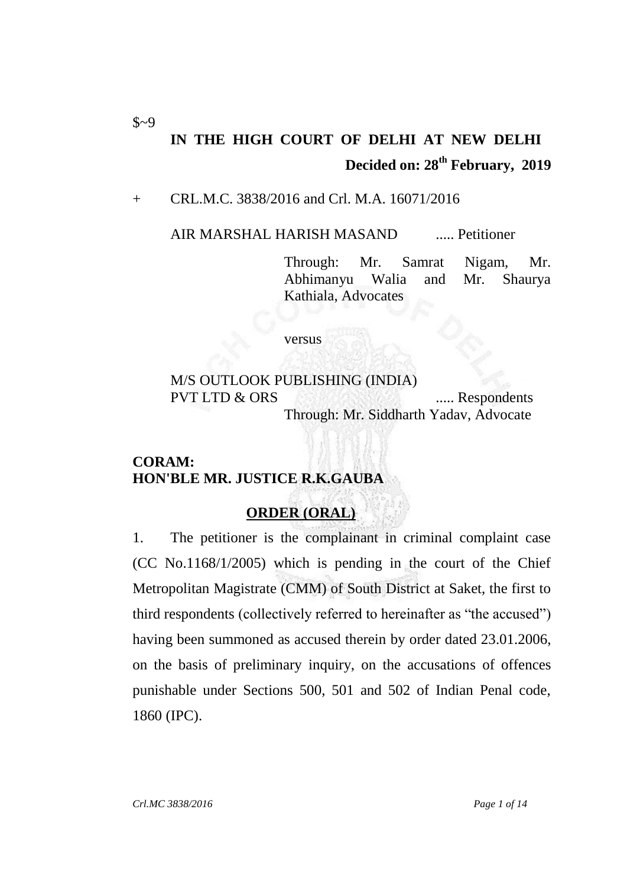# **IN THE HIGH COURT OF DELHI AT NEW DELHI Decided on: 28th February, 2019**

#### + CRL.M.C. 3838/2016 and Crl. M.A. 16071/2016

AIR MARSHAL HARISH MASAND ..... Petitioner

Through: Mr. Samrat Nigam, Mr. Abhimanyu Walia and Mr. Shaurya Kathiala, Advocates

versus

M/S OUTLOOK PUBLISHING (INDIA) PVT LTD & ORS ...... Respondents Through: Mr. Siddharth Yadav, Advocate

#### **CORAM: HON'BLE MR. JUSTICE R.K.GAUBA**

## **ORDER (ORAL)**

1. The petitioner is the complainant in criminal complaint case (CC No.1168/1/2005) which is pending in the court of the Chief Metropolitan Magistrate (CMM) of South District at Saket, the first to third respondents (collectively referred to hereinafter as "the accused") having been summoned as accused therein by order dated 23.01.2006, on the basis of preliminary inquiry, on the accusations of offences punishable under Sections 500, 501 and 502 of Indian Penal code, 1860 (IPC).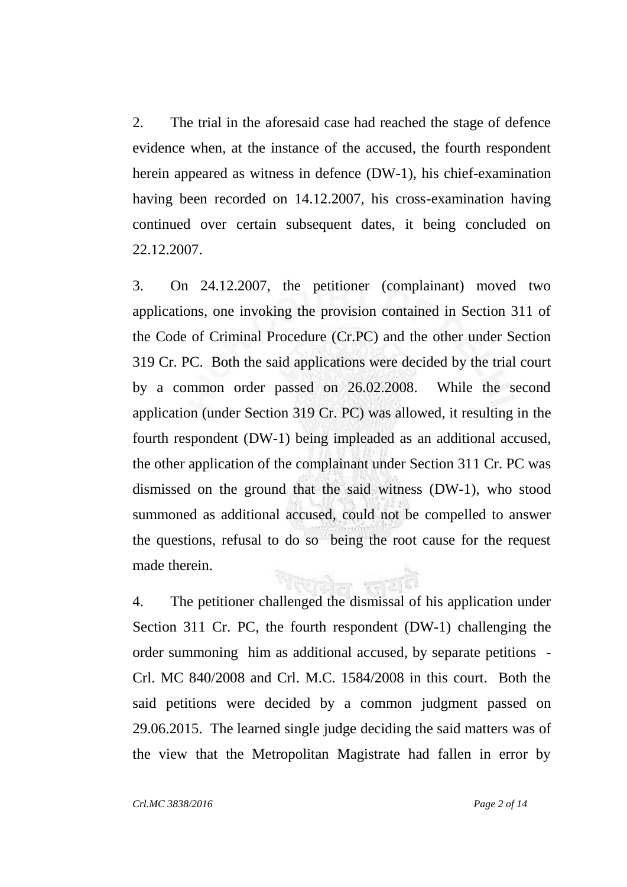2. The trial in the aforesaid case had reached the stage of defence evidence when, at the instance of the accused, the fourth respondent herein appeared as witness in defence (DW-1), his chief-examination having been recorded on 14.12.2007, his cross-examination having continued over certain subsequent dates, it being concluded on 22.12.2007.

3. On 24.12.2007, the petitioner (complainant) moved two applications, one invoking the provision contained in Section 311 of the Code of Criminal Procedure (Cr.PC) and the other under Section 319 Cr. PC. Both the said applications were decided by the trial court by a common order passed on 26.02.2008. While the second application (under Section 319 Cr. PC) was allowed, it resulting in the fourth respondent (DW-1) being impleaded as an additional accused, the other application of the complainant under Section 311 Cr. PC was dismissed on the ground that the said witness (DW-1), who stood summoned as additional accused, could not be compelled to answer the questions, refusal to do so being the root cause for the request made therein.

4. The petitioner challenged the dismissal of his application under Section 311 Cr. PC, the fourth respondent (DW-1) challenging the order summoning him as additional accused, by separate petitions - Crl. MC 840/2008 and Crl. M.C. 1584/2008 in this court. Both the said petitions were decided by a common judgment passed on 29.06.2015. The learned single judge deciding the said matters was of the view that the Metropolitan Magistrate had fallen in error by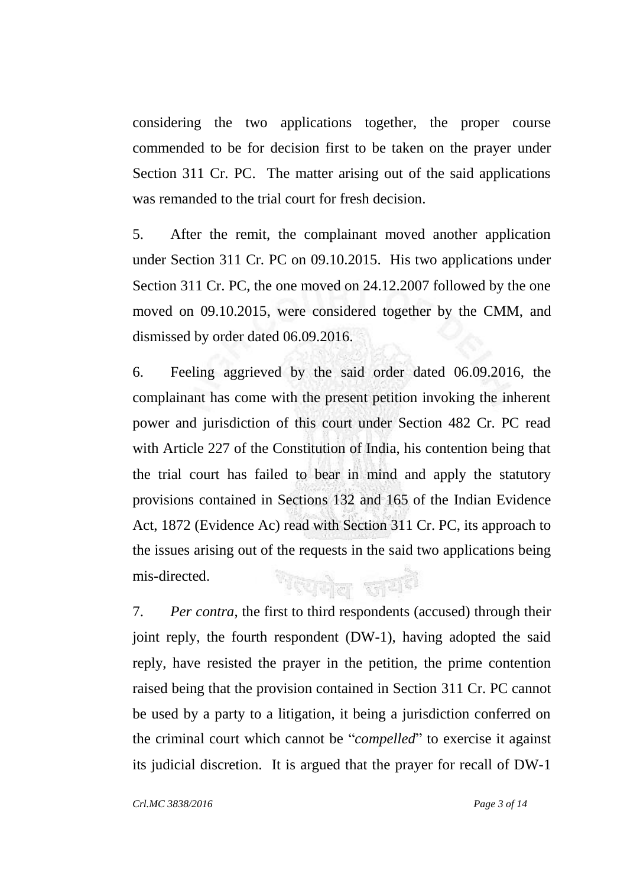considering the two applications together, the proper course commended to be for decision first to be taken on the prayer under Section 311 Cr. PC. The matter arising out of the said applications was remanded to the trial court for fresh decision.

5. After the remit, the complainant moved another application under Section 311 Cr. PC on 09.10.2015. His two applications under Section 311 Cr. PC, the one moved on 24.12.2007 followed by the one moved on 09.10.2015, were considered together by the CMM, and dismissed by order dated 06.09.2016.

6. Feeling aggrieved by the said order dated 06.09.2016, the complainant has come with the present petition invoking the inherent power and jurisdiction of this court under Section 482 Cr. PC read with Article 227 of the Constitution of India, his contention being that the trial court has failed to bear in mind and apply the statutory provisions contained in Sections 132 and 165 of the Indian Evidence Act, 1872 (Evidence Ac) read with Section 311 Cr. PC, its approach to the issues arising out of the requests in the said two applications being mis-directed. <sup>প</sup>িদ্রাগীল জায়ণি

7. *Per contra*, the first to third respondents (accused) through their joint reply, the fourth respondent (DW-1), having adopted the said reply, have resisted the prayer in the petition, the prime contention raised being that the provision contained in Section 311 Cr. PC cannot be used by a party to a litigation, it being a jurisdiction conferred on the criminal court which cannot be "*compelled*" to exercise it against its judicial discretion. It is argued that the prayer for recall of DW-1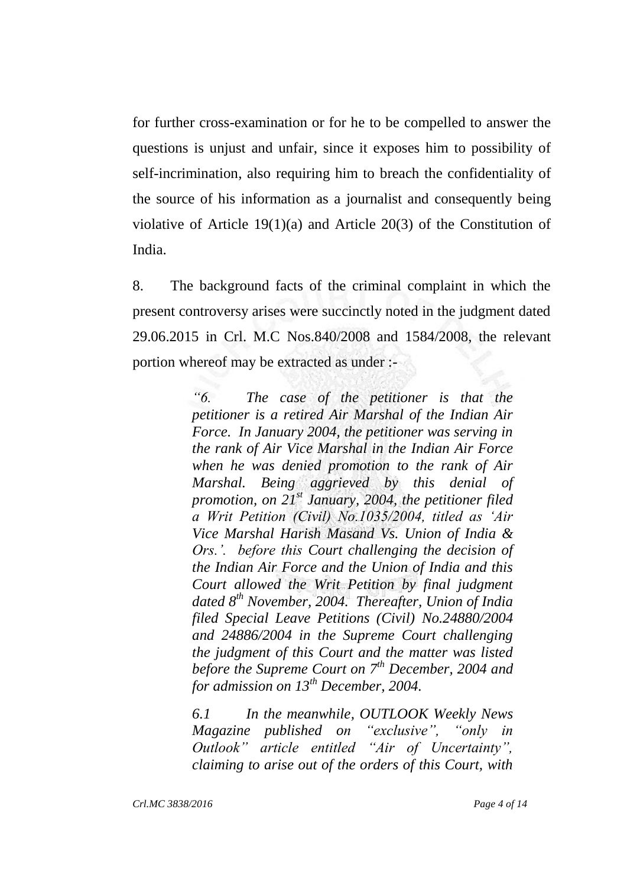for further cross-examination or for he to be compelled to answer the questions is unjust and unfair, since it exposes him to possibility of self-incrimination, also requiring him to breach the confidentiality of the source of his information as a journalist and consequently being violative of Article 19(1)(a) and Article 20(3) of the Constitution of India.

8. The background facts of the criminal complaint in which the present controversy arises were succinctly noted in the judgment dated 29.06.2015 in Crl. M.C Nos.840/2008 and 1584/2008, the relevant portion whereof may be extracted as under :-

> *"6. The case of the petitioner is that the petitioner is a retired Air Marshal of the Indian Air Force. In January 2004, the petitioner was serving in the rank of Air Vice Marshal in the Indian Air Force when he was denied promotion to the rank of Air Marshal. Being aggrieved by this denial of promotion, on 21st January, 2004, the petitioner filed a Writ Petition (Civil) No.1035/2004, titled as "Air Vice Marshal Harish Masand Vs. Union of India & Ors.". before this Court challenging the decision of the Indian Air Force and the Union of India and this Court allowed the Writ Petition by final judgment dated 8th November, 2004. Thereafter, Union of India filed Special Leave Petitions (Civil) No.24880/2004 and 24886/2004 in the Supreme Court challenging the judgment of this Court and the matter was listed before the Supreme Court on 7th December, 2004 and for admission on 13th December, 2004.*

> *6.1 In the meanwhile, OUTLOOK Weekly News Magazine published on "exclusive", "only in Outlook" article entitled "Air of Uncertainty", claiming to arise out of the orders of this Court, with*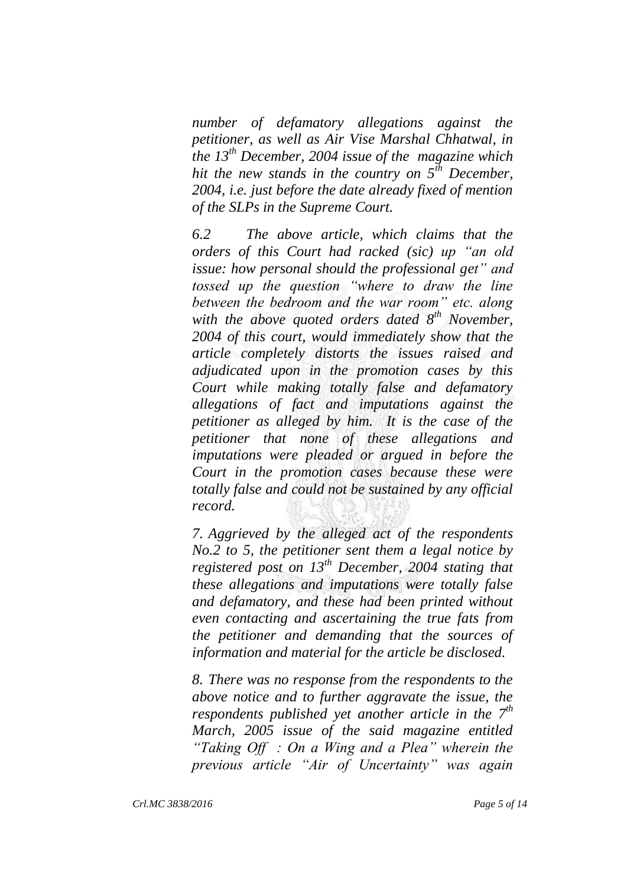*number of defamatory allegations against the petitioner, as well as Air Vise Marshal Chhatwal, in the 13th December, 2004 issue of the magazine which hit the new stands in the country on 5th December, 2004, i.e. just before the date already fixed of mention of the SLPs in the Supreme Court.*

*6.2 The above article, which claims that the orders of this Court had racked (sic) up "an old issue: how personal should the professional get" and tossed up the question "where to draw the line between the bedroom and the war room" etc. along with the above quoted orders dated 8th November, 2004 of this court, would immediately show that the article completely distorts the issues raised and adjudicated upon in the promotion cases by this Court while making totally false and defamatory allegations of fact and imputations against the petitioner as alleged by him. It is the case of the petitioner that none of these allegations and imputations were pleaded or argued in before the Court in the promotion cases because these were totally false and could not be sustained by any official record.*

*7. Aggrieved by the alleged act of the respondents No.2 to 5, the petitioner sent them a legal notice by registered post on 13th December, 2004 stating that these allegations and imputations were totally false and defamatory, and these had been printed without even contacting and ascertaining the true fats from the petitioner and demanding that the sources of information and material for the article be disclosed.*

*8. There was no response from the respondents to the above notice and to further aggravate the issue, the respondents published yet another article in the 7th March, 2005 issue of the said magazine entitled "Taking Off : On a Wing and a Plea" wherein the previous article "Air of Uncertainty" was again*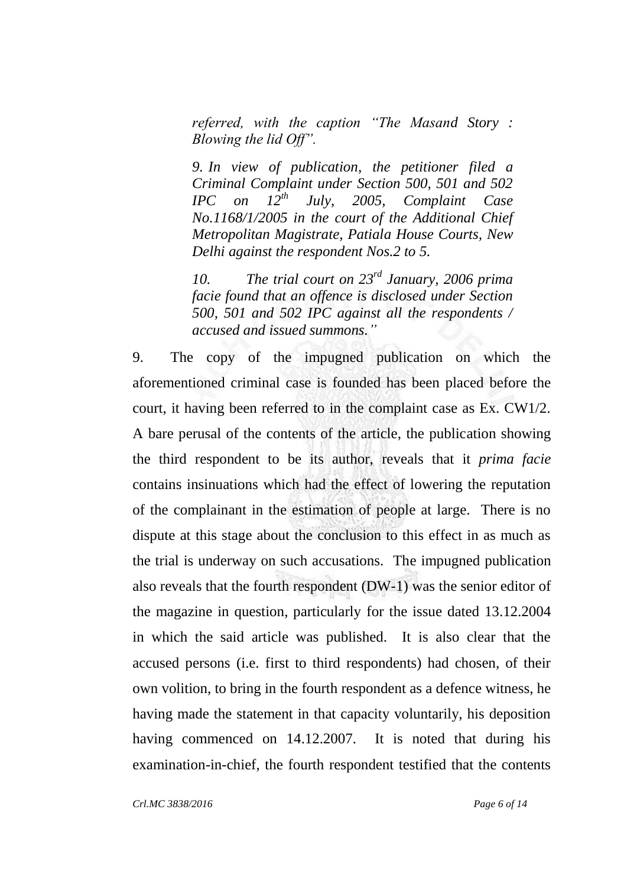*referred, with the caption "The Masand Story : Blowing the lid Off".* 

*9. In view of publication, the petitioner filed a Criminal Complaint under Section 500, 501 and 502 IPC on 12th July, 2005, Complaint Case No.1168/1/2005 in the court of the Additional Chief Metropolitan Magistrate, Patiala House Courts, New Delhi against the respondent Nos.2 to 5.*

*10. The trial court on 23rd January, 2006 prima facie found that an offence is disclosed under Section 500, 501 and 502 IPC against all the respondents / accused and issued summons."*

9. The copy of the impugned publication on which the aforementioned criminal case is founded has been placed before the court, it having been referred to in the complaint case as Ex. CW1/2. A bare perusal of the contents of the article, the publication showing the third respondent to be its author, reveals that it *prima facie* contains insinuations which had the effect of lowering the reputation of the complainant in the estimation of people at large. There is no dispute at this stage about the conclusion to this effect in as much as the trial is underway on such accusations. The impugned publication also reveals that the fourth respondent (DW-1) was the senior editor of the magazine in question, particularly for the issue dated 13.12.2004 in which the said article was published. It is also clear that the accused persons (i.e. first to third respondents) had chosen, of their own volition, to bring in the fourth respondent as a defence witness, he having made the statement in that capacity voluntarily, his deposition having commenced on 14.12.2007. It is noted that during his examination-in-chief, the fourth respondent testified that the contents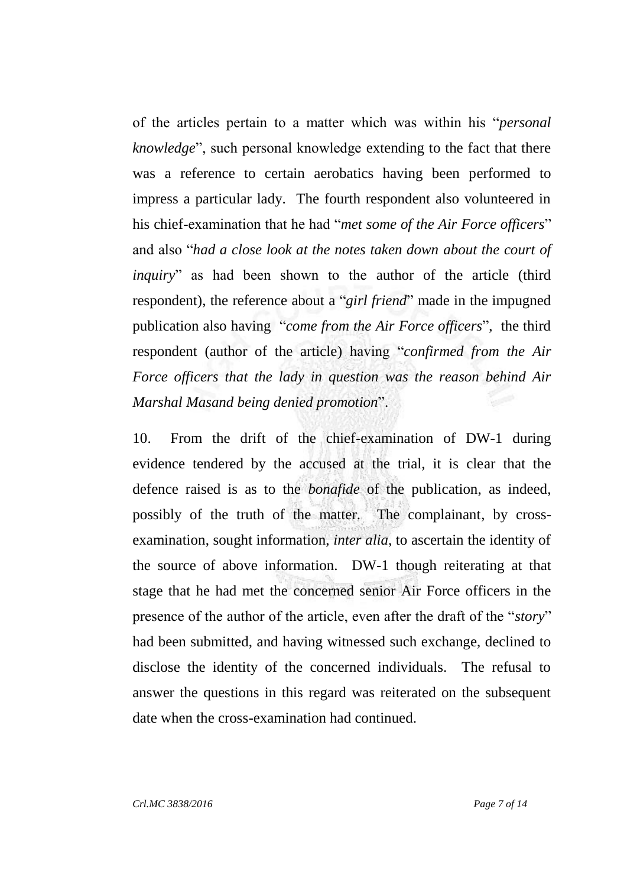of the articles pertain to a matter which was within his "*personal knowledge*", such personal knowledge extending to the fact that there was a reference to certain aerobatics having been performed to impress a particular lady. The fourth respondent also volunteered in his chief-examination that he had "*met some of the Air Force officers*" and also "*had a close look at the notes taken down about the court of inquiry*" as had been shown to the author of the article (third respondent), the reference about a "*girl friend*" made in the impugned publication also having "*come from the Air Force officers*", the third respondent (author of the article) having "*confirmed from the Air Force officers that the lady in question was the reason behind Air Marshal Masand being denied promotion*".

10. From the drift of the chief-examination of DW-1 during evidence tendered by the accused at the trial, it is clear that the defence raised is as to the *bonafide* of the publication, as indeed, possibly of the truth of the matter. The complainant, by crossexamination, sought information, *inter alia*, to ascertain the identity of the source of above information. DW-1 though reiterating at that stage that he had met the concerned senior Air Force officers in the presence of the author of the article, even after the draft of the "*story*" had been submitted, and having witnessed such exchange, declined to disclose the identity of the concerned individuals. The refusal to answer the questions in this regard was reiterated on the subsequent date when the cross-examination had continued.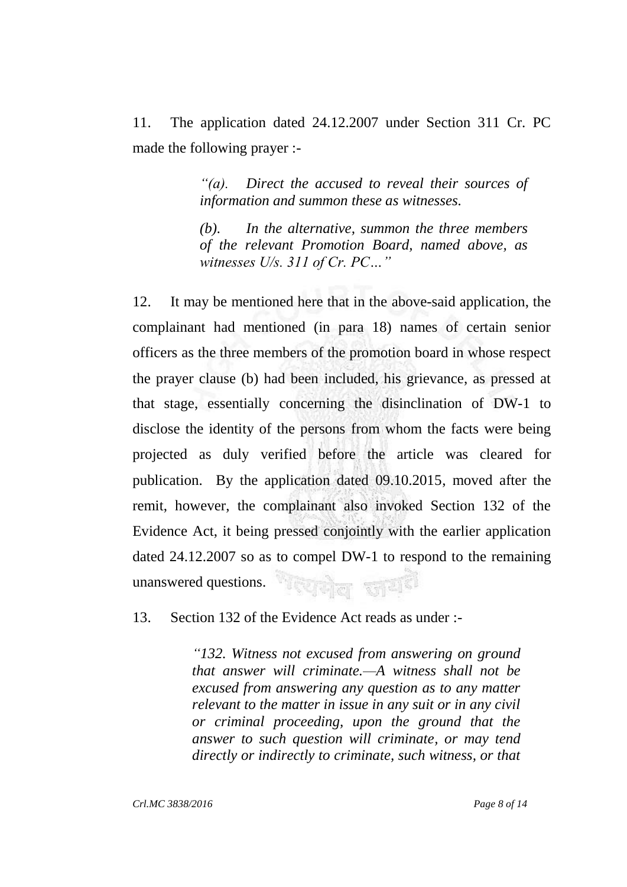11. The application dated 24.12.2007 under Section 311 Cr. PC made the following prayer :-

> *"(a). Direct the accused to reveal their sources of information and summon these as witnesses.*

> *(b). In the alternative, summon the three members of the relevant Promotion Board, named above, as witnesses U/s. 311 of Cr. PC…"*

12. It may be mentioned here that in the above-said application, the complainant had mentioned (in para 18) names of certain senior officers as the three members of the promotion board in whose respect the prayer clause (b) had been included, his grievance, as pressed at that stage, essentially concerning the disinclination of DW-1 to disclose the identity of the persons from whom the facts were being projected as duly verified before the article was cleared for publication. By the application dated 09.10.2015, moved after the remit, however, the complainant also invoked Section 132 of the Evidence Act, it being pressed conjointly with the earlier application dated 24.12.2007 so as to compel DW-1 to respond to the remaining unanswered questions.

13. Section 132 of the Evidence Act reads as under :-

*"132. Witness not excused from answering on ground that answer will criminate.—A witness shall not be excused from answering any question as to any matter relevant to the matter in issue in any suit or in any civil or criminal proceeding, upon the ground that the answer to such question will criminate, or may tend directly or indirectly to criminate, such witness, or that*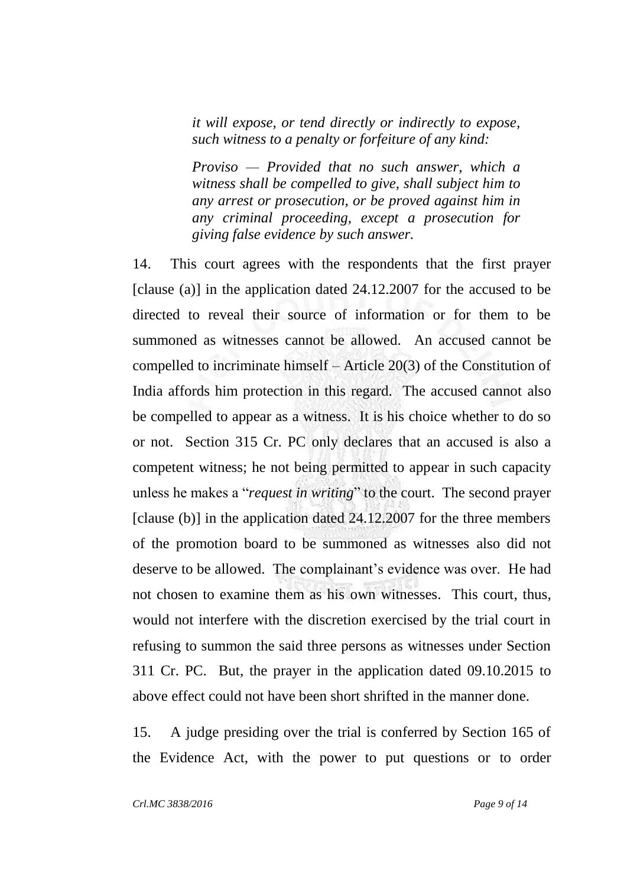*it will expose, or tend directly or indirectly to expose, such witness to a penalty or forfeiture of any kind:*

*Proviso — Provided that no such answer, which a witness shall be compelled to give, shall subject him to any arrest or prosecution, or be proved against him in any criminal proceeding, except a prosecution for giving false evidence by such answer.*

14. This court agrees with the respondents that the first prayer [clause (a)] in the application dated 24.12.2007 for the accused to be directed to reveal their source of information or for them to be summoned as witnesses cannot be allowed. An accused cannot be compelled to incriminate himself – Article 20(3) of the Constitution of India affords him protection in this regard. The accused cannot also be compelled to appear as a witness. It is his choice whether to do so or not. Section 315 Cr. PC only declares that an accused is also a competent witness; he not being permitted to appear in such capacity unless he makes a "*request in writing*" to the court. The second prayer [clause (b)] in the application dated 24.12.2007 for the three members of the promotion board to be summoned as witnesses also did not deserve to be allowed. The complainant's evidence was over. He had not chosen to examine them as his own witnesses. This court, thus, would not interfere with the discretion exercised by the trial court in refusing to summon the said three persons as witnesses under Section 311 Cr. PC. But, the prayer in the application dated 09.10.2015 to above effect could not have been short shrifted in the manner done.

15. A judge presiding over the trial is conferred by Section 165 of the Evidence Act, with the power to put questions or to order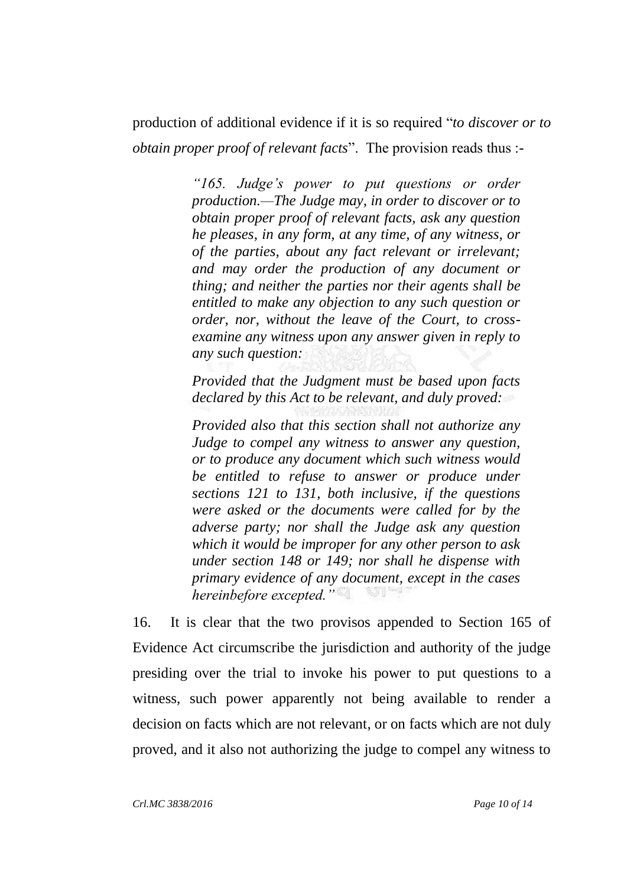production of additional evidence if it is so required "*to discover or to obtain proper proof of relevant facts*". The provision reads thus :-

> *"165. Judge"s power to put questions or order production.—The Judge may, in order to discover or to obtain proper proof of relevant facts, ask any question he pleases, in any form, at any time, of any witness, or of the parties, about any fact relevant or irrelevant; and may order the production of any document or thing; and neither the parties nor their agents shall be entitled to make any objection to any such question or order, nor, without the leave of the Court, to crossexamine any witness upon any answer given in reply to any such question:*

> *Provided that the Judgment must be based upon facts declared by this Act to be relevant, and duly proved:*

> *Provided also that this section shall not authorize any Judge to compel any witness to answer any question, or to produce any document which such witness would be entitled to refuse to answer or produce under sections 121 to 131, both inclusive, if the questions were asked or the documents were called for by the adverse party; nor shall the Judge ask any question which it would be improper for any other person to ask under section 148 or 149; nor shall he dispense with primary evidence of any document, except in the cases hereinbefore excepted."*

16. It is clear that the two provisos appended to Section 165 of Evidence Act circumscribe the jurisdiction and authority of the judge presiding over the trial to invoke his power to put questions to a witness, such power apparently not being available to render a decision on facts which are not relevant, or on facts which are not duly proved, and it also not authorizing the judge to compel any witness to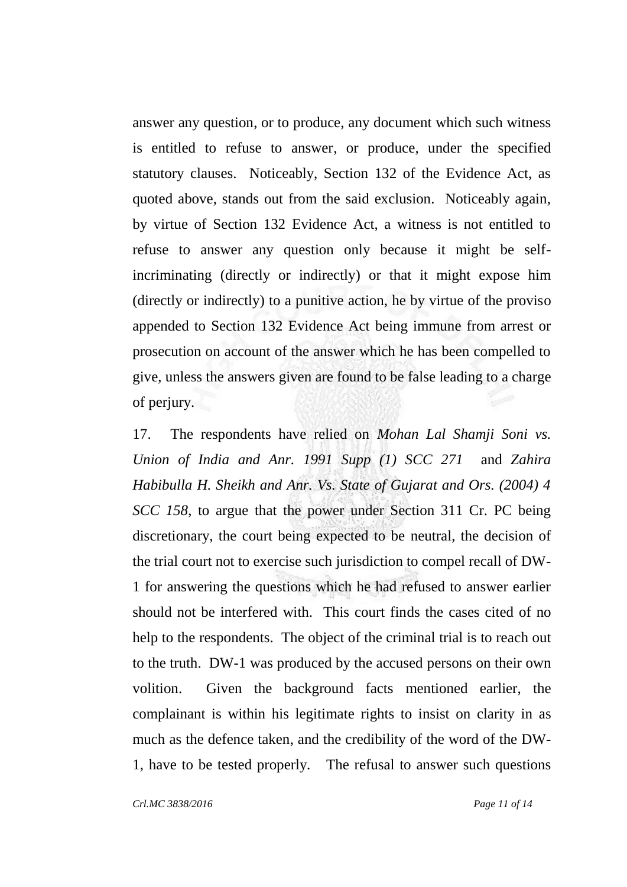answer any question, or to produce, any document which such witness is entitled to refuse to answer, or produce, under the specified statutory clauses. Noticeably, Section 132 of the Evidence Act, as quoted above, stands out from the said exclusion. Noticeably again, by virtue of Section 132 Evidence Act, a witness is not entitled to refuse to answer any question only because it might be selfincriminating (directly or indirectly) or that it might expose him (directly or indirectly) to a punitive action, he by virtue of the proviso appended to Section 132 Evidence Act being immune from arrest or prosecution on account of the answer which he has been compelled to give, unless the answers given are found to be false leading to a charge of perjury.

17. The respondents have relied on *Mohan Lal Shamji Soni vs. Union of India and Anr. 1991 Supp (1) SCC 271* and *Zahira Habibulla H. Sheikh and Anr. Vs. State of Gujarat and Ors. (2004) 4 SCC 158*, to argue that the power under Section 311 Cr. PC being discretionary, the court being expected to be neutral, the decision of the trial court not to exercise such jurisdiction to compel recall of DW-1 for answering the questions which he had refused to answer earlier should not be interfered with. This court finds the cases cited of no help to the respondents. The object of the criminal trial is to reach out to the truth. DW-1 was produced by the accused persons on their own volition. Given the background facts mentioned earlier, the complainant is within his legitimate rights to insist on clarity in as much as the defence taken, and the credibility of the word of the DW-1, have to be tested properly. The refusal to answer such questions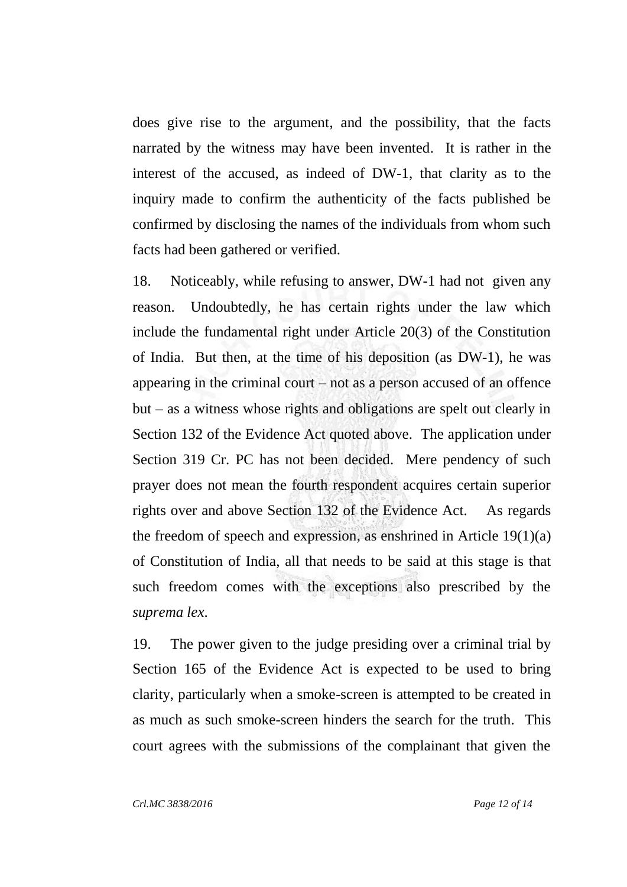does give rise to the argument, and the possibility, that the facts narrated by the witness may have been invented. It is rather in the interest of the accused, as indeed of DW-1, that clarity as to the inquiry made to confirm the authenticity of the facts published be confirmed by disclosing the names of the individuals from whom such facts had been gathered or verified.

18. Noticeably, while refusing to answer, DW-1 had not given any reason. Undoubtedly, he has certain rights under the law which include the fundamental right under Article 20(3) of the Constitution of India. But then, at the time of his deposition (as DW-1), he was appearing in the criminal court – not as a person accused of an offence but – as a witness whose rights and obligations are spelt out clearly in Section 132 of the Evidence Act quoted above. The application under Section 319 Cr. PC has not been decided. Mere pendency of such prayer does not mean the fourth respondent acquires certain superior rights over and above Section 132 of the Evidence Act. As regards the freedom of speech and expression, as enshrined in Article  $19(1)(a)$ of Constitution of India, all that needs to be said at this stage is that such freedom comes with the exceptions also prescribed by the *suprema lex*.

19. The power given to the judge presiding over a criminal trial by Section 165 of the Evidence Act is expected to be used to bring clarity, particularly when a smoke-screen is attempted to be created in as much as such smoke-screen hinders the search for the truth. This court agrees with the submissions of the complainant that given the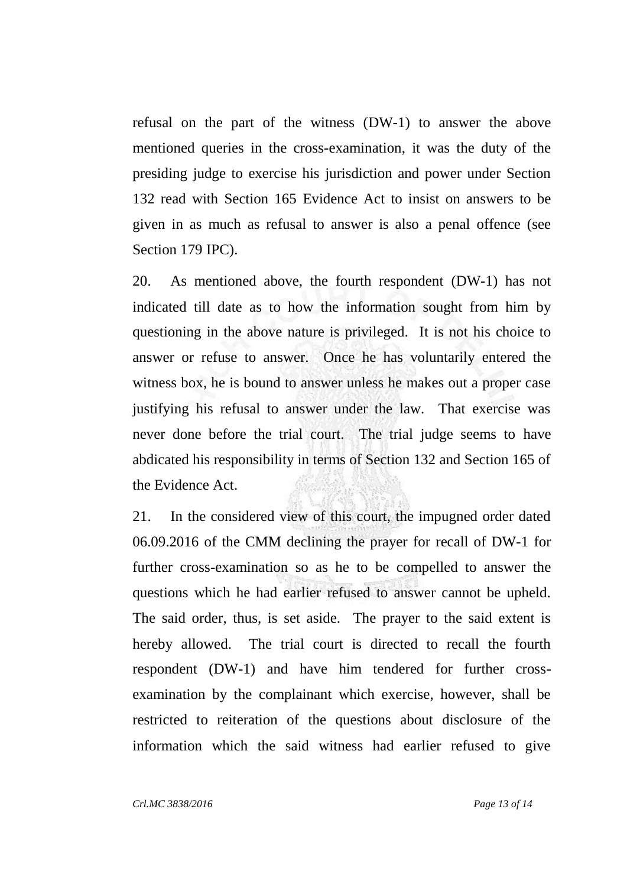refusal on the part of the witness (DW-1) to answer the above mentioned queries in the cross-examination, it was the duty of the presiding judge to exercise his jurisdiction and power under Section 132 read with Section 165 Evidence Act to insist on answers to be given in as much as refusal to answer is also a penal offence (see Section 179 IPC).

20. As mentioned above, the fourth respondent (DW-1) has not indicated till date as to how the information sought from him by questioning in the above nature is privileged. It is not his choice to answer or refuse to answer. Once he has voluntarily entered the witness box, he is bound to answer unless he makes out a proper case justifying his refusal to answer under the law. That exercise was never done before the trial court. The trial judge seems to have abdicated his responsibility in terms of Section 132 and Section 165 of the Evidence Act.

21. In the considered view of this court, the impugned order dated 06.09.2016 of the CMM declining the prayer for recall of DW-1 for further cross-examination so as he to be compelled to answer the questions which he had earlier refused to answer cannot be upheld. The said order, thus, is set aside. The prayer to the said extent is hereby allowed. The trial court is directed to recall the fourth respondent (DW-1) and have him tendered for further crossexamination by the complainant which exercise, however, shall be restricted to reiteration of the questions about disclosure of the information which the said witness had earlier refused to give